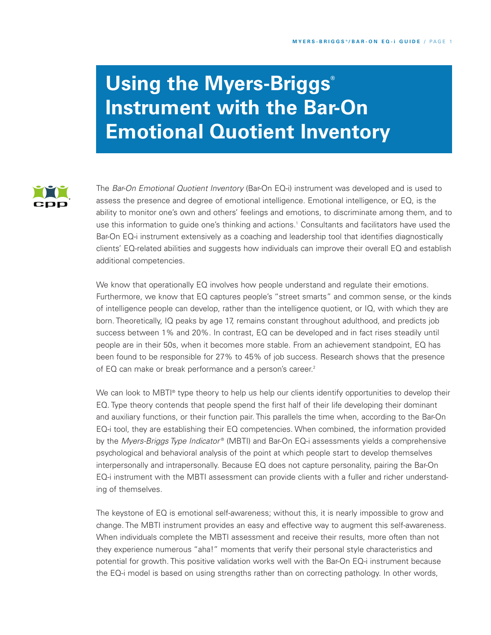# **Using the Myers-Briggs ® Instrument with the Bar-On Emotional Quotient Inventory**



The *Bar-On Emotional Quotient Inventory* (Bar-On EQ-i) instrument was developed and is used to assess the presence and degree of emotional intelligence. Emotional intelligence, or EQ, is the ability to monitor one's own and others' feelings and emotions, to discriminate among them, and to use this information to guide one's thinking and actions. <sup>1</sup> Consultants and facilitators have used the Bar-On EQ-i instrument extensively as a coaching and leadership tool that identifies diagnostically clients' EQ-related abilities and suggests how individuals can improve their overall EQ and establish additional competencies.

We know that operationally EQ involves how people understand and regulate their emotions. Furthermore, we know that EQ captures people's "street smarts" and common sense, or the kinds of intelligence people can develop, rather than the intelligence quotient, or IQ, with which they are born. Theoretically, IQ peaks by age 17, remains constant throughout adulthood, and predicts job success between 1% and 20%. In contrast, EQ can be developed and in fact rises steadily until people are in their 50s, when it becomes more stable. From an achievement standpoint, EQ has been found to be responsible for 27% to 45% of job success. Research shows that the presence of EQ can make or break performance and a person's career. 2

We can look to MBTI ® type theory to help us help our clients identify opportunities to develop their EQ. Type theory contends that people spend the first half of their life developing their dominant and auxiliary functions, or their function pair. This parallels the time when, according to the Bar-On EQ-i tool, they are establishing their EQ competencies. When combined, the information provided by the *Myers-Briggs Type Indicator* ® (MBTI) and Bar-On EQ-i assessments yields a comprehensive psychological and behavioral analysis of the point at which people start to develop themselves interpersonally and intrapersonally. Because EQ does not capture personality, pairing the Bar-On EQ-i instrument with the MBTI assessment can provide clients with a fuller and richer understanding of themselves.

The keystone of EQ is emotional self-awareness; without this, it is nearly impossible to grow and change. The MBTI instrument provides an easy and effective way to augment this self-awareness. When individuals complete the MBTI assessment and receive their results, more often than not they experience numerous "aha!" moments that verify their personal style characteristics and potential for growth. This positive validation works well with the Bar-On EQ-i instrument because the EQ-i model is based on using strengths rather than on correcting pathology. In other words,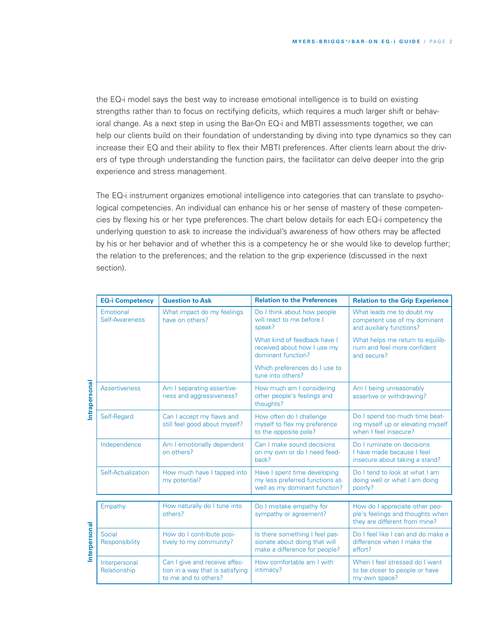the EQ-i model says the best way to increase emotional intelligence is to build on existing strengths rather than to focus on rectifying deficits, which requires a much larger shift or behavioral change. As a next step in using the Bar-On EQ-i and MBTI assessments together, we can help our clients build on their foundation of understanding by diving into type dynamics so they can increase their EQ and their ability to flex their MBTI preferences. After clients learn about the drivers of type through understanding the function pairs, the facilitator can delve deeper into the grip experience and stress management.

The EQ-i instrument organizes emotional intelligence into categories that can translate to psychological competencies. An individual can enhance his or her sense of mastery of these competencies by flexing his or her type preferences. The chart below details for each EQ-i competency the underlying question to ask to increase the individual's awareness of how others may be affected by his or her behavior and of whether this is a competency he or she would like to develop further; the relation to the preferences; and the relation to the grip experience (discussed in the next section).

|               | <b>EQ-i Competency</b>        | <b>Question to Ask</b>                                                                    | <b>Relation to the Preferences</b>                                                               | <b>Relation to the Grip Experience</b>                                                              |
|---------------|-------------------------------|-------------------------------------------------------------------------------------------|--------------------------------------------------------------------------------------------------|-----------------------------------------------------------------------------------------------------|
| Intrapersonal | Emotional<br>Self-Awareness   | What impact do my feelings<br>have on others?                                             | Do I think about how people<br>will react to me before I<br>speak?                               | What leads me to doubt my<br>competent use of my dominant<br>and auxiliary functions?               |
|               |                               |                                                                                           | What kind of feedback have I<br>received about how I use my<br>dominant function?                | What helps me return to equilib-<br>rium and feel more confident<br>and secure?                     |
|               |                               |                                                                                           | Which preferences do I use to<br>tune into others?                                               |                                                                                                     |
|               | <b>Assertiveness</b>          | Am I separating assertive-<br>ness and aggressiveness?                                    | How much am I considering<br>other people's feelings and<br>thoughts?                            | Am I being unreasonably<br>assertive or withdrawing?                                                |
|               | Self-Regard                   | Can I accept my flaws and<br>still feel good about myself?                                | How often do I challenge<br>myself to flex my preference<br>to the opposite pole?                | Do I spend too much time beat-<br>ing myself up or elevating myself<br>when I feel insecure?        |
|               | Independence                  | Am I emotionally dependent<br>on others?                                                  | Can I make sound decisions<br>on my own or do I need feed-<br>back?                              | Do I ruminate on decisions<br>I have made because I feel<br>insecure about taking a stand?          |
|               | Self-Actualization            | How much have I tapped into<br>my potential?                                              | Have I spent time developing<br>my less preferred functions as<br>well as my dominant function?  | Do I tend to look at what I am<br>doing well or what I am doing<br>poorly?                          |
|               |                               |                                                                                           |                                                                                                  |                                                                                                     |
| Interpersonal | Empathy                       | How naturally do I tune into<br>others?                                                   | Do I mistake empathy for<br>sympathy or agreement?                                               | How do I appreciate other peo-<br>ple's feelings and thoughts when<br>they are different from mine? |
|               | Social<br>Responsibility      | How do I contribute posi-<br>tively to my community?                                      | Is there something I feel pas-<br>sionate about doing that will<br>make a difference for people? | Do I feel like I can and do make a<br>difference when I make the<br>effort?                         |
|               | Interpersonal<br>Relationship | Can I give and receive affec-<br>tion in a way that is satisfying<br>to me and to others? | How comfortable am I with<br>intimacy?                                                           | When I feel stressed do I want<br>to be closer to people or have<br>my own space?                   |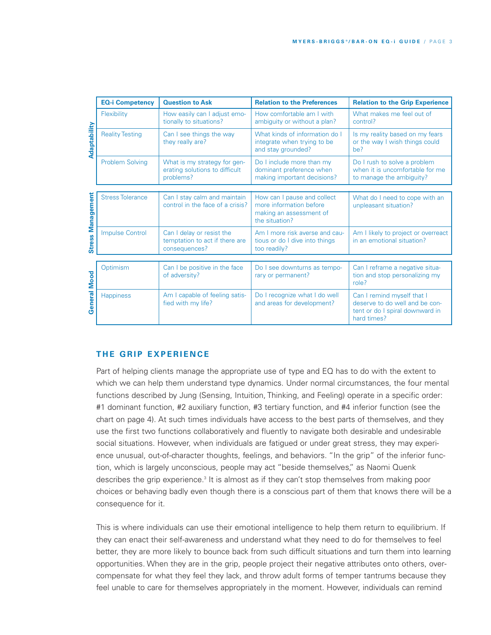|                          | <b>EQ-i Competency</b>  | <b>Question to Ask</b>                                                       | <b>Relation to the Preferences</b>                                                                  | <b>Relation to the Grip Experience</b>                                                                         |  |
|--------------------------|-------------------------|------------------------------------------------------------------------------|-----------------------------------------------------------------------------------------------------|----------------------------------------------------------------------------------------------------------------|--|
| Adaptability             | Flexibility             | How easily can I adjust emo-<br>tionally to situations?                      | How comfortable am I with<br>ambiguity or without a plan?                                           | What makes me feel out of<br>control?                                                                          |  |
|                          | <b>Reality Testing</b>  | Can I see things the way<br>they really are?                                 | What kinds of information do I<br>integrate when trying to be<br>and stay grounded?                 | Is my reality based on my fears<br>or the way I wish things could<br>be?                                       |  |
|                          | <b>Problem Solving</b>  | What is my strategy for gen-<br>erating solutions to difficult<br>problems?  | Do I include more than my<br>dominant preference when<br>making important decisions?                | Do I rush to solve a problem<br>when it is uncomfortable for me<br>to manage the ambiguity?                    |  |
|                          |                         |                                                                              |                                                                                                     |                                                                                                                |  |
| <b>Stress Management</b> | <b>Stress Tolerance</b> | Can I stay calm and maintain<br>control in the face of a crisis?             | How can I pause and collect<br>more information before<br>making an assessment of<br>the situation? | What do I need to cope with an<br>unpleasant situation?                                                        |  |
|                          | <b>Impulse Control</b>  | Can I delay or resist the<br>temptation to act if there are<br>consequences? | Am I more risk averse and cau-<br>tious or do I dive into things<br>too readily?                    | Am I likely to project or overreact<br>in an emotional situation?                                              |  |
|                          |                         |                                                                              |                                                                                                     |                                                                                                                |  |
|                          | Optimism                | Can I be positive in the face<br>of adversity?                               | Do I see downturns as tempo-<br>rary or permanent?                                                  | Can I reframe a negative situa-<br>tion and stop personalizing my<br>role?                                     |  |
| <b>General Mood</b>      | <b>Happiness</b>        | Am I capable of feeling satis-<br>fied with my life?                         | Do I recognize what I do well<br>and areas for development?                                         | Can I remind myself that I<br>deserve to do well and be con-<br>tent or do I spiral downward in<br>hard times? |  |

# $THE$  **GRIP EXPERIENCE**

Part of helping clients manage the appropriate use of type and EQ has to do with the extent to which we can help them understand type dynamics. Under normal circumstances, the four mental functions described by Jung (Sensing, Intuition, Thinking, and Feeling) operate in a specific order: #1 dominant function, #2 auxiliary function, #3 tertiary function, and #4 inferior function (see the chart on page 4). At such times individuals have access to the best parts of themselves, and they use the first two functions collaboratively and fluently to navigate both desirable and undesirable social situations. However, when individuals are fatigued or under great stress, they may experience unusual, out-of-character thoughts, feelings, and behaviors. "In the grip" of the inferior function, which is largely unconscious, people may act "beside themselves," as Naomi Quenk describes the grip experience.<sup>3</sup> It is almost as if they can't stop themselves from making poor choices or behaving badly even though there is a conscious part of them that knows there will be a consequence for it.

This is where individuals can use their emotional intelligence to help them return to equilibrium. If they can enact their self-awareness and understand what they need to do for themselves to feel better, they are more likely to bounce back from such difficult situations and turn them into learning opportunities. When they are in the grip, people project their negative attributes onto others, overcompensate for what they feel they lack, and throw adult forms of temper tantrums because they feel unable to care for themselves appropriately in the moment. However, individuals can remind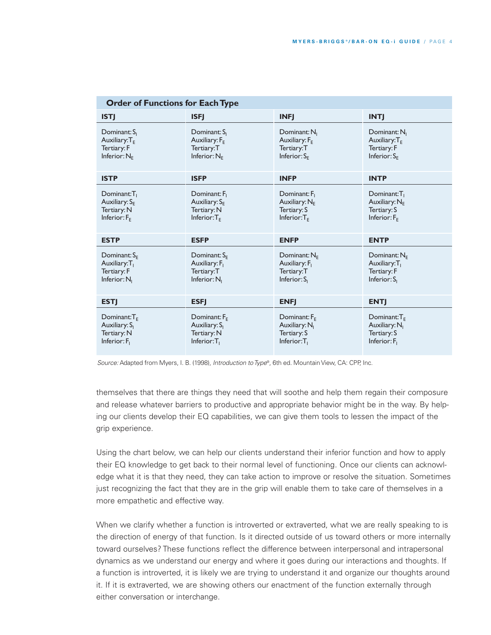| <b>Order of Functions for Each Type</b>                                                 |                                                                                 |                                                                                        |                                                                                         |  |  |  |
|-----------------------------------------------------------------------------------------|---------------------------------------------------------------------------------|----------------------------------------------------------------------------------------|-----------------------------------------------------------------------------------------|--|--|--|
| <b>ISTJ</b>                                                                             | <b>ISFJ</b>                                                                     | <b>INFI</b>                                                                            | <b>INTI</b>                                                                             |  |  |  |
| Dominant: S <sub>1</sub><br>Auxiliary: $T_{E}$<br>Tertiary: F<br>Inferior: $N_F$        | Dominant: S <sub>1</sub><br>Auxiliary: $F_{E}$<br>Tertiary:T<br>Inferior: $N_F$ | Dominant: $N1$<br>Auxiliary: $F_{E}$<br>Tertiary:T<br>Inferior: $S_F$                  | Dominant: N <sub>1</sub><br>Auxiliary: $T_{E}$<br>Tertiary: F<br>Inferior: $S_{E}$      |  |  |  |
| <b>ISTP</b>                                                                             | <b>ISFP</b>                                                                     | <b>INFP</b>                                                                            | <b>INTP</b>                                                                             |  |  |  |
| Dominant:T <sub>1</sub><br>Auxiliary: $S_F$<br>Tertiary: N<br>Inferior: $F_E$           | Dominant: F <sub>1</sub><br>Auxiliary: $S_F$<br>Tertiary: N<br>Inferior: $T_F$  | Dominant: F <sub>1</sub><br>Auxiliary: NE<br>Tertiary: S<br>Inferior: $T_F$            | Dominant:T <sub>1</sub><br>Auxiliary: $N_E$<br>Tertiary: S<br>Inferior: $F_F$           |  |  |  |
| <b>ESTP</b>                                                                             | <b>ESFP</b>                                                                     | <b>ENFP</b>                                                                            | <b>ENTP</b>                                                                             |  |  |  |
| Dominant: $S_{E}$<br>Auxiliary: T <sub>1</sub><br>Tertiary: F<br>Inferior: $N1$         | Dominant: $S_{E}$<br>Auxiliary: F <sub>1</sub><br>Tertiary:T<br>Inferior: $N1$  | Dominant: $N_F$<br>Auxiliary: F <sub>1</sub><br>Tertiary: T<br>Inferior: $S1$          | Dominant: $N_F$<br>Auxiliary: $T_1$<br>Tertiary: F<br>Inferior: $S_i$                   |  |  |  |
| <b>ESTI</b>                                                                             | <b>ESFI</b>                                                                     | <b>ENFI</b>                                                                            | <b>ENTJ</b>                                                                             |  |  |  |
| Dominant: $T_F$<br>Auxiliary: S <sub>I</sub><br>Tertiary: N<br>Inferior: F <sub>1</sub> | Dominant: $F_F$<br>Auxiliary: S <sub>1</sub><br>Tertiary: N<br>Inferior: $T_1$  | Dominant: $F_F$<br>Auxiliary: N <sub>1</sub><br>Tertiary: S<br>Inferior:T <sub>1</sub> | Dominant: $T_F$<br>Auxiliary: N <sub>1</sub><br>Tertiary: S<br>Inferior: F <sub>1</sub> |  |  |  |

*Source:* Adapted from Myers, I. B. (1998), *Introduction toType*®, 6th ed. MountainView, CA: CPP, Inc.

themselves that there are things they need that will soothe and help them regain their composure and release whatever barriers to productive and appropriate behavior might be in the way. By helping our clients develop their EQ capabilities, we can give them tools to lessen the impact of the grip experience.

Using the chart below, we can help our clients understand their inferior function and how to apply their EQ knowledge to get back to their normal level of functioning. Once our clients can acknowledge what it is that they need, they can take action to improve or resolve the situation. Sometimes just recognizing the fact that they are in the grip will enable them to take care of themselves in a more empathetic and effective way.

When we clarify whether a function is introverted or extraverted, what we are really speaking to is the direction of energy of that function. Is it directed outside of us toward others or more internally toward ourselves? These functions reflect the difference between interpersonal and intrapersonal dynamics as we understand our energy and where it goes during our interactions and thoughts. If a function is introverted, it is likely we are trying to understand it and organize our thoughts around it. If it is extraverted, we are showing others our enactment of the function externally through either conversation or interchange.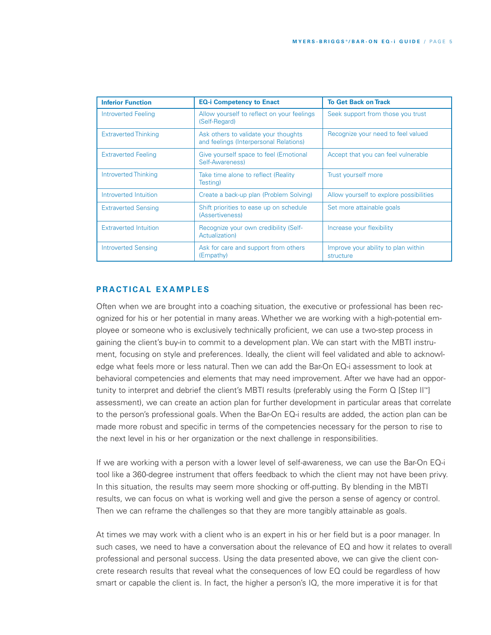| <b>Inferior Function</b>     | <b>EQ-i Competency to Enact</b>                                                | <b>To Get Back on Track</b>                      |
|------------------------------|--------------------------------------------------------------------------------|--------------------------------------------------|
| Introverted Feeling          | Allow yourself to reflect on your feelings<br>(Self-Regard)                    | Seek support from those you trust                |
| <b>Extraverted Thinking</b>  | Ask others to validate your thoughts<br>and feelings (Interpersonal Relations) | Recognize your need to feel valued               |
| <b>Extraverted Feeling</b>   | Give yourself space to feel (Emotional<br>Self-Awareness)                      | Accept that you can feel vulnerable              |
| <b>Introverted Thinking</b>  | Take time alone to reflect (Reality<br>Testing)                                | Trust yourself more                              |
| Introverted Intuition        | Create a back-up plan (Problem Solving)                                        | Allow yourself to explore possibilities          |
| <b>Extraverted Sensing</b>   | Shift priorities to ease up on schedule<br>(Assertiveness)                     | Set more attainable goals                        |
| <b>Extraverted Intuition</b> | Recognize your own credibility (Self-<br>Actualization)                        | Increase your flexibility                        |
| <b>Introverted Sensing</b>   | Ask for care and support from others<br>(Empathy)                              | Improve your ability to plan within<br>structure |

## **PR A CT IC A L E X A M P L E S**

Often when we are brought into a coaching situation, the executive or professional has been recognized for his or her potential in many areas. Whether we are working with a high-potential employee or someone who is exclusively technically proficient, we can use a two-step process in gaining the client's buy-in to commit to a development plan. We can start with the MBTI instrument, focusing on style and preferences. Ideally, the client will feel validated and able to acknowledge what feels more or less natural. Then we can add the Bar-On EQ-i assessment to look at behavioral competencies and elements that may need improvement. After we have had an opportunity to interpret and debrief the client's MBTI results (preferably using the Form Q [Step II™] assessment), we can create an action plan for further development in particular areas that correlate to the person's professional goals. When the Bar-On EQ-i results are added, the action plan can be made more robust and specific in terms of the competencies necessary for the person to rise to the next level in his or her organization or the next challenge in responsibilities.

If we are working with a person with a lower level of self-awareness, we can use the Bar-On EQ-i tool like a 360-degree instrument that offers feedback to which the client may not have been privy. In this situation, the results may seem more shocking or off-putting. By blending in the MBTI results, we can focus on what is working well and give the person a sense of agency or control. Then we can reframe the challenges so that they are more tangibly attainable as goals.

At times we may work with a client who is an expert in his or her field but is a poor manager. In such cases, we need to have a conversation about the relevance of EQ and how it relates to overall professional and personal success. Using the data presented above, we can give the client concrete research results that reveal what the consequences of low EQ could be regardless of how smart or capable the client is. In fact, the higher a person's IQ, the more imperative it is for that